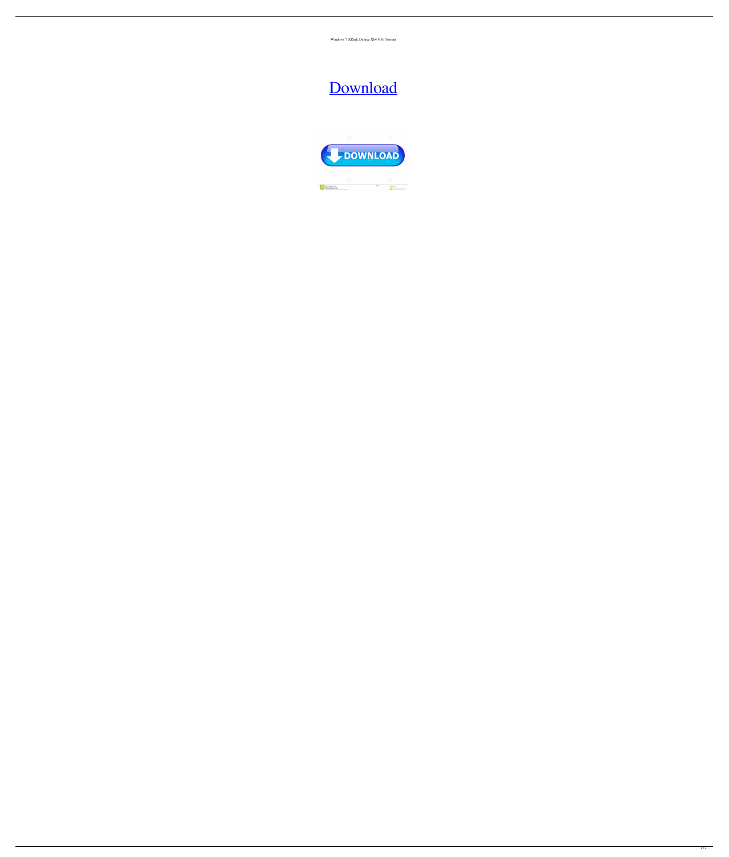Windows 7 XDark Deluxe X64 V51 Torrent

## [Download](http://evacdir.com/fcat/ZG93bmxvYWR8MU94YzNOc2ZId3hOalUwTXpRME9EZzBmSHd5TlRnM2ZId29UU2tnU0dWeWIydDFJRnRHWVhOMElFZEZUbDA/carafe.photographyforfun?makawao=V2luZG93cyA3IFhEYXJrIERlbHV4ZSBYNjQgVjUxIFRvcnJlbnQV2l/sixth)

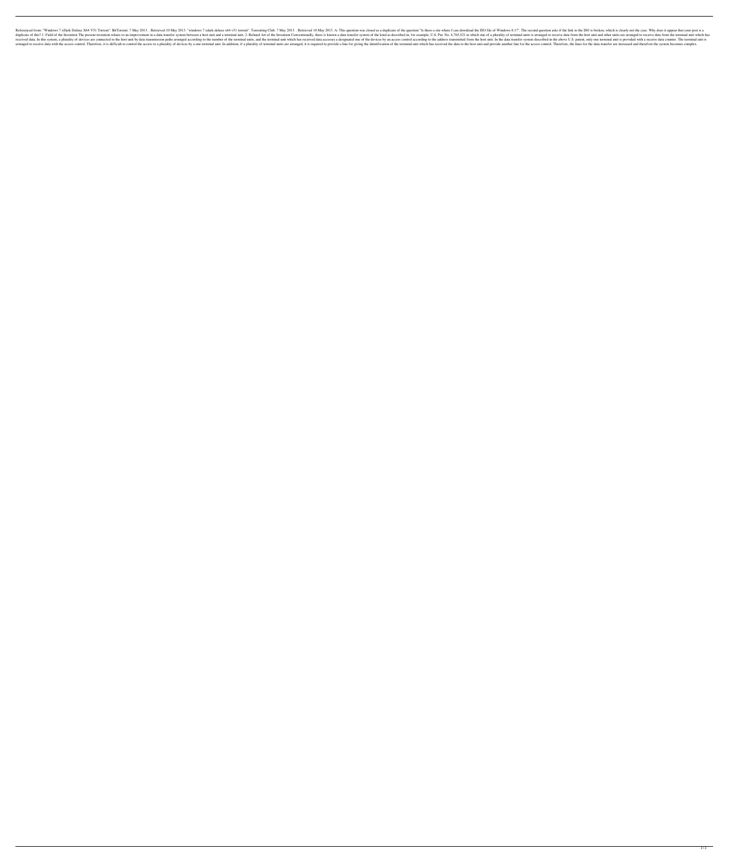Referenced from: "Windows 7 xDark Deluxe X64 V51 Torrent". BitTorrent. 7 May 2013. . Retrieved 10 May 2013. "windows 7 xdark deluxe x64 v51 torrent". Torrenting Club. 7 May 2013. A: This question was closed as a duplicate duplicate of this? 1. Field of the Invention The present invention relates to an improvement in a data transfer system between a host unit and a terminal unit. 2. Related Art of the Invention Conventionally, there is known received data. In this system, a plurality of devices are connected to the host unit by data transmission paths arranged according to the number of the terminal unit which has received data accesses a designated one of the arranged to receive data with the access control. Therefore, it is difficult to control the access to a plurality of devices by a one terminal unit. In addition, if a plurality of terminal units are arranged, it is require